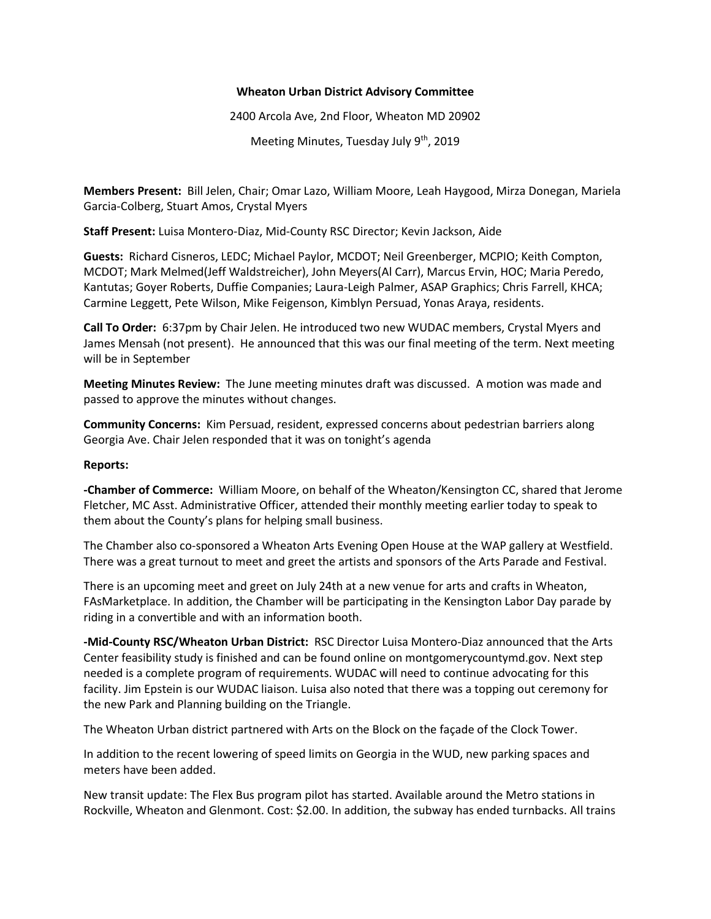#### **Wheaton Urban District Advisory Committee**

2400 Arcola Ave, 2nd Floor, Wheaton MD 20902

Meeting Minutes, Tuesday July 9<sup>th</sup>, 2019

**Members Present:** Bill Jelen, Chair; Omar Lazo, William Moore, Leah Haygood, Mirza Donegan, Mariela Garcia-Colberg, Stuart Amos, Crystal Myers

**Staff Present:** Luisa Montero-Diaz, Mid-County RSC Director; Kevin Jackson, Aide

**Guests:** Richard Cisneros, LEDC; Michael Paylor, MCDOT; Neil Greenberger, MCPIO; Keith Compton, MCDOT; Mark Melmed(Jeff Waldstreicher), John Meyers(Al Carr), Marcus Ervin, HOC; Maria Peredo, Kantutas; Goyer Roberts, Duffie Companies; Laura-Leigh Palmer, ASAP Graphics; Chris Farrell, KHCA; Carmine Leggett, Pete Wilson, Mike Feigenson, Kimblyn Persuad, Yonas Araya, residents.

**Call To Order:** 6:37pm by Chair Jelen. He introduced two new WUDAC members, Crystal Myers and James Mensah (not present). He announced that this was our final meeting of the term. Next meeting will be in September

**Meeting Minutes Review:** The June meeting minutes draft was discussed. A motion was made and passed to approve the minutes without changes.

**Community Concerns:** Kim Persuad, resident, expressed concerns about pedestrian barriers along Georgia Ave. Chair Jelen responded that it was on tonight's agenda

### **Reports:**

**-Chamber of Commerce:** William Moore, on behalf of the Wheaton/Kensington CC, shared that Jerome Fletcher, MC Asst. Administrative Officer, attended their monthly meeting earlier today to speak to them about the County's plans for helping small business.

The Chamber also co-sponsored a Wheaton Arts Evening Open House at the WAP gallery at Westfield. There was a great turnout to meet and greet the artists and sponsors of the Arts Parade and Festival.

There is an upcoming meet and greet on July 24th at a new venue for arts and crafts in Wheaton, FAsMarketplace. In addition, the Chamber will be participating in the Kensington Labor Day parade by riding in a convertible and with an information booth.

**-Mid-County RSC/Wheaton Urban District:** RSC Director Luisa Montero-Diaz announced that the Arts Center feasibility study is finished and can be found online on montgomerycountymd.gov. Next step needed is a complete program of requirements. WUDAC will need to continue advocating for this facility. Jim Epstein is our WUDAC liaison. Luisa also noted that there was a topping out ceremony for the new Park and Planning building on the Triangle.

The Wheaton Urban district partnered with Arts on the Block on the façade of the Clock Tower.

In addition to the recent lowering of speed limits on Georgia in the WUD, new parking spaces and meters have been added.

New transit update: The Flex Bus program pilot has started. Available around the Metro stations in Rockville, Wheaton and Glenmont. Cost: \$2.00. In addition, the subway has ended turnbacks. All trains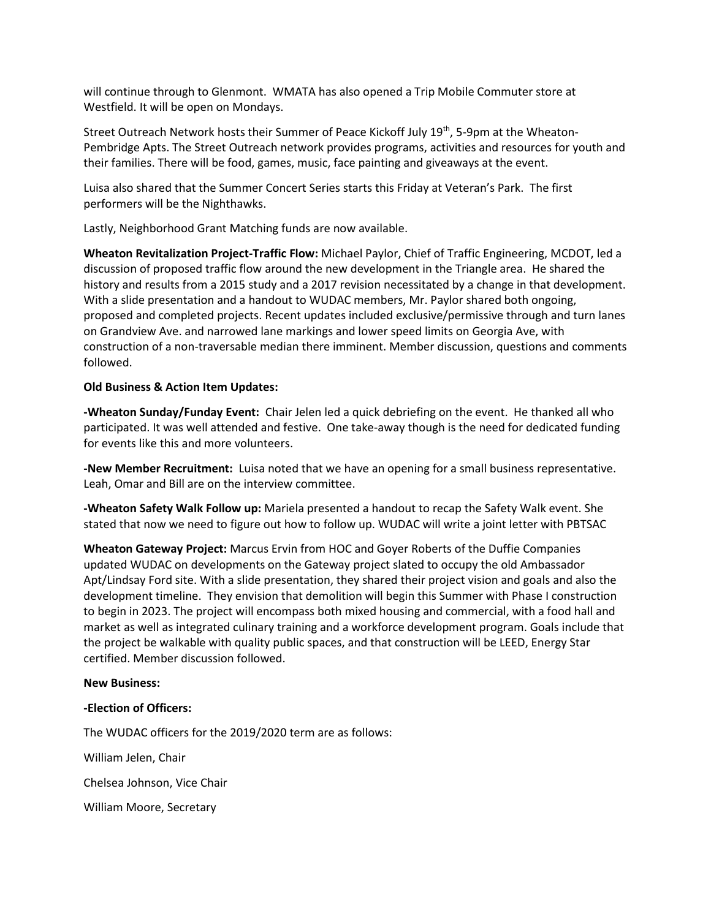will continue through to Glenmont. WMATA has also opened a Trip Mobile Commuter store at Westfield. It will be open on Mondays.

Street Outreach Network hosts their Summer of Peace Kickoff July 19<sup>th</sup>, 5-9pm at the Wheaton-Pembridge Apts. The Street Outreach network provides programs, activities and resources for youth and their families. There will be food, games, music, face painting and giveaways at the event.

Luisa also shared that the Summer Concert Series starts this Friday at Veteran's Park. The first performers will be the Nighthawks.

Lastly, Neighborhood Grant Matching funds are now available.

**Wheaton Revitalization Project-Traffic Flow:** Michael Paylor, Chief of Traffic Engineering, MCDOT, led a discussion of proposed traffic flow around the new development in the Triangle area. He shared the history and results from a 2015 study and a 2017 revision necessitated by a change in that development. With a slide presentation and a handout to WUDAC members, Mr. Paylor shared both ongoing, proposed and completed projects. Recent updates included exclusive/permissive through and turn lanes on Grandview Ave. and narrowed lane markings and lower speed limits on Georgia Ave, with construction of a non-traversable median there imminent. Member discussion, questions and comments followed.

#### **Old Business & Action Item Updates:**

**-Wheaton Sunday/Funday Event:** Chair Jelen led a quick debriefing on the event. He thanked all who participated. It was well attended and festive. One take-away though is the need for dedicated funding for events like this and more volunteers.

**-New Member Recruitment:** Luisa noted that we have an opening for a small business representative. Leah, Omar and Bill are on the interview committee.

**-Wheaton Safety Walk Follow up:** Mariela presented a handout to recap the Safety Walk event. She stated that now we need to figure out how to follow up. WUDAC will write a joint letter with PBTSAC

**Wheaton Gateway Project:** Marcus Ervin from HOC and Goyer Roberts of the Duffie Companies updated WUDAC on developments on the Gateway project slated to occupy the old Ambassador Apt/Lindsay Ford site. With a slide presentation, they shared their project vision and goals and also the development timeline. They envision that demolition will begin this Summer with Phase I construction to begin in 2023. The project will encompass both mixed housing and commercial, with a food hall and market as well as integrated culinary training and a workforce development program. Goals include that the project be walkable with quality public spaces, and that construction will be LEED, Energy Star certified. Member discussion followed.

## **New Business:**

## **-Election of Officers:**

The WUDAC officers for the 2019/2020 term are as follows:

William Jelen, Chair

Chelsea Johnson, Vice Chair

William Moore, Secretary